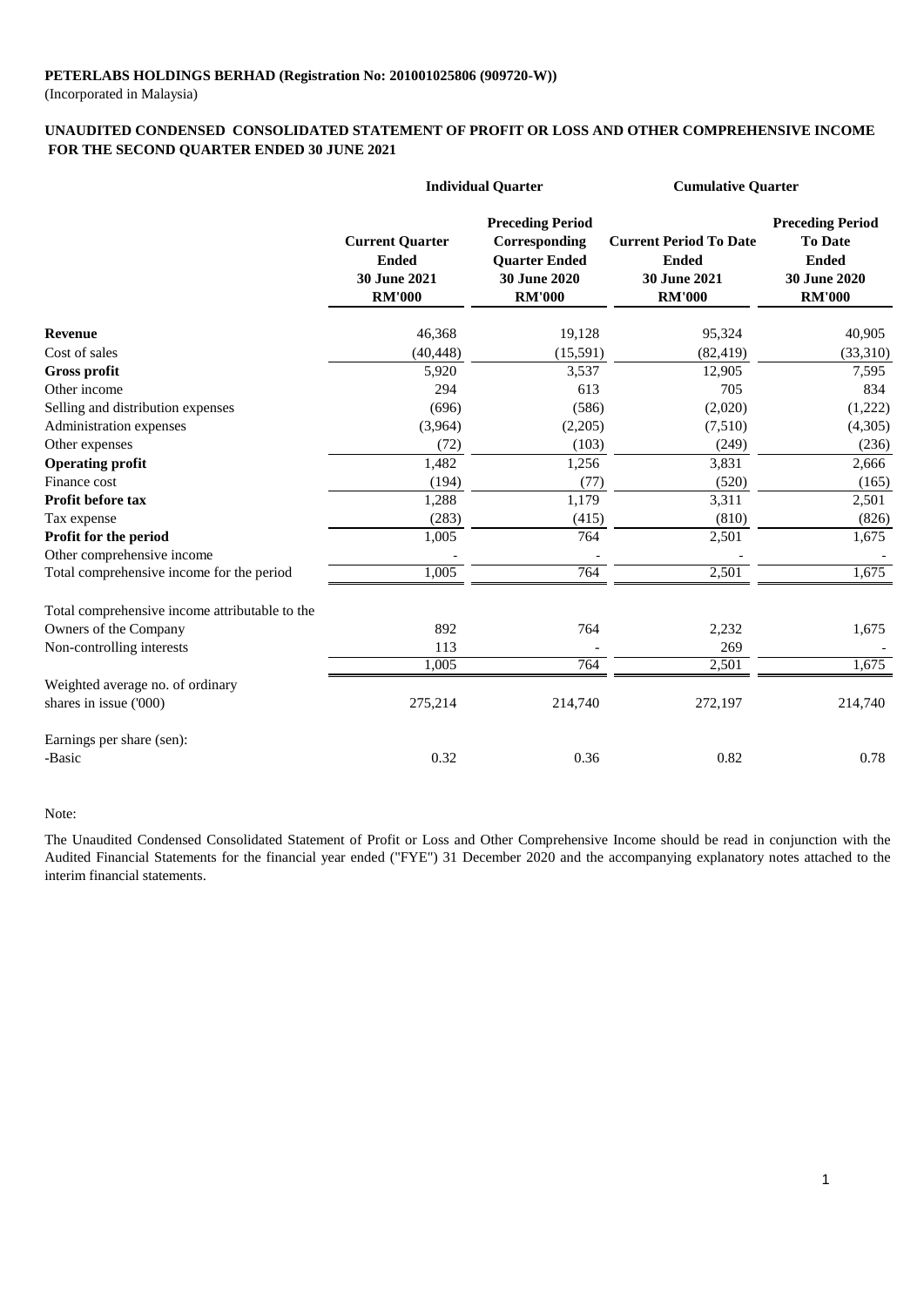(Incorporated in Malaysia)

#### **FOR THE SECOND QUARTER ENDED 30 JUNE 2021 UNAUDITED CONDENSED CONSOLIDATED STATEMENT OF PROFIT OR LOSS AND OTHER COMPREHENSIVE INCOME**

|                                                | <b>Individual Quarter</b>                                               |                                                                                                   | <b>Cumulative Quarter</b>                                                             |                                                                                            |
|------------------------------------------------|-------------------------------------------------------------------------|---------------------------------------------------------------------------------------------------|---------------------------------------------------------------------------------------|--------------------------------------------------------------------------------------------|
|                                                | <b>Current Quarter</b><br><b>Ended</b><br>30 June 2021<br><b>RM'000</b> | <b>Preceding Period</b><br>Corresponding<br><b>Quarter Ended</b><br>30 June 2020<br><b>RM'000</b> | <b>Current Period To Date</b><br><b>Ended</b><br><b>30 June 2021</b><br><b>RM'000</b> | <b>Preceding Period</b><br><b>To Date</b><br><b>Ended</b><br>30 June 2020<br><b>RM'000</b> |
| <b>Revenue</b>                                 | 46,368                                                                  | 19,128                                                                                            | 95,324                                                                                | 40,905                                                                                     |
| Cost of sales                                  | (40, 448)                                                               | (15,591)                                                                                          | (82, 419)                                                                             | (33,310)                                                                                   |
| <b>Gross profit</b>                            | 5,920                                                                   | 3,537                                                                                             | 12,905                                                                                | 7,595                                                                                      |
| Other income                                   | 294                                                                     | 613                                                                                               | 705                                                                                   | 834                                                                                        |
| Selling and distribution expenses              | (696)                                                                   | (586)                                                                                             | (2,020)                                                                               | (1,222)                                                                                    |
| Administration expenses                        | (3,964)                                                                 | (2,205)                                                                                           | (7,510)                                                                               | (4,305)                                                                                    |
| Other expenses                                 | (72)                                                                    | (103)                                                                                             | (249)                                                                                 | (236)                                                                                      |
| <b>Operating profit</b>                        | 1,482                                                                   | 1,256                                                                                             | 3,831                                                                                 | 2,666                                                                                      |
| Finance cost                                   | (194)                                                                   | (77)                                                                                              | (520)                                                                                 | (165)                                                                                      |
| <b>Profit before tax</b>                       | 1,288                                                                   | 1,179                                                                                             | 3,311                                                                                 | 2,501                                                                                      |
| Tax expense                                    | (283)                                                                   | (415)                                                                                             | (810)                                                                                 | (826)                                                                                      |
| Profit for the period                          | 1,005                                                                   | 764                                                                                               | 2,501                                                                                 | 1,675                                                                                      |
| Other comprehensive income                     |                                                                         |                                                                                                   |                                                                                       |                                                                                            |
| Total comprehensive income for the period      | 1,005                                                                   | 764                                                                                               | 2,501                                                                                 | 1,675                                                                                      |
| Total comprehensive income attributable to the |                                                                         |                                                                                                   |                                                                                       |                                                                                            |
| Owners of the Company                          | 892                                                                     | 764                                                                                               | 2,232                                                                                 | 1,675                                                                                      |
| Non-controlling interests                      | 113                                                                     |                                                                                                   | 269                                                                                   |                                                                                            |
|                                                | 1,005                                                                   | 764                                                                                               | 2,501                                                                                 | 1,675                                                                                      |
| Weighted average no. of ordinary               |                                                                         |                                                                                                   |                                                                                       |                                                                                            |
| shares in issue ('000)                         | 275,214                                                                 | 214,740                                                                                           | 272,197                                                                               | 214,740                                                                                    |
| Earnings per share (sen):                      |                                                                         |                                                                                                   |                                                                                       |                                                                                            |
| -Basic                                         | 0.32                                                                    | 0.36                                                                                              | 0.82                                                                                  | 0.78                                                                                       |

#### Note:

The Unaudited Condensed Consolidated Statement of Profit or Loss and Other Comprehensive Income should be read in conjunction with the Audited Financial Statements for the financial year ended ("FYE") 31 December 2020 and the accompanying explanatory notes attached to the interim financial statements.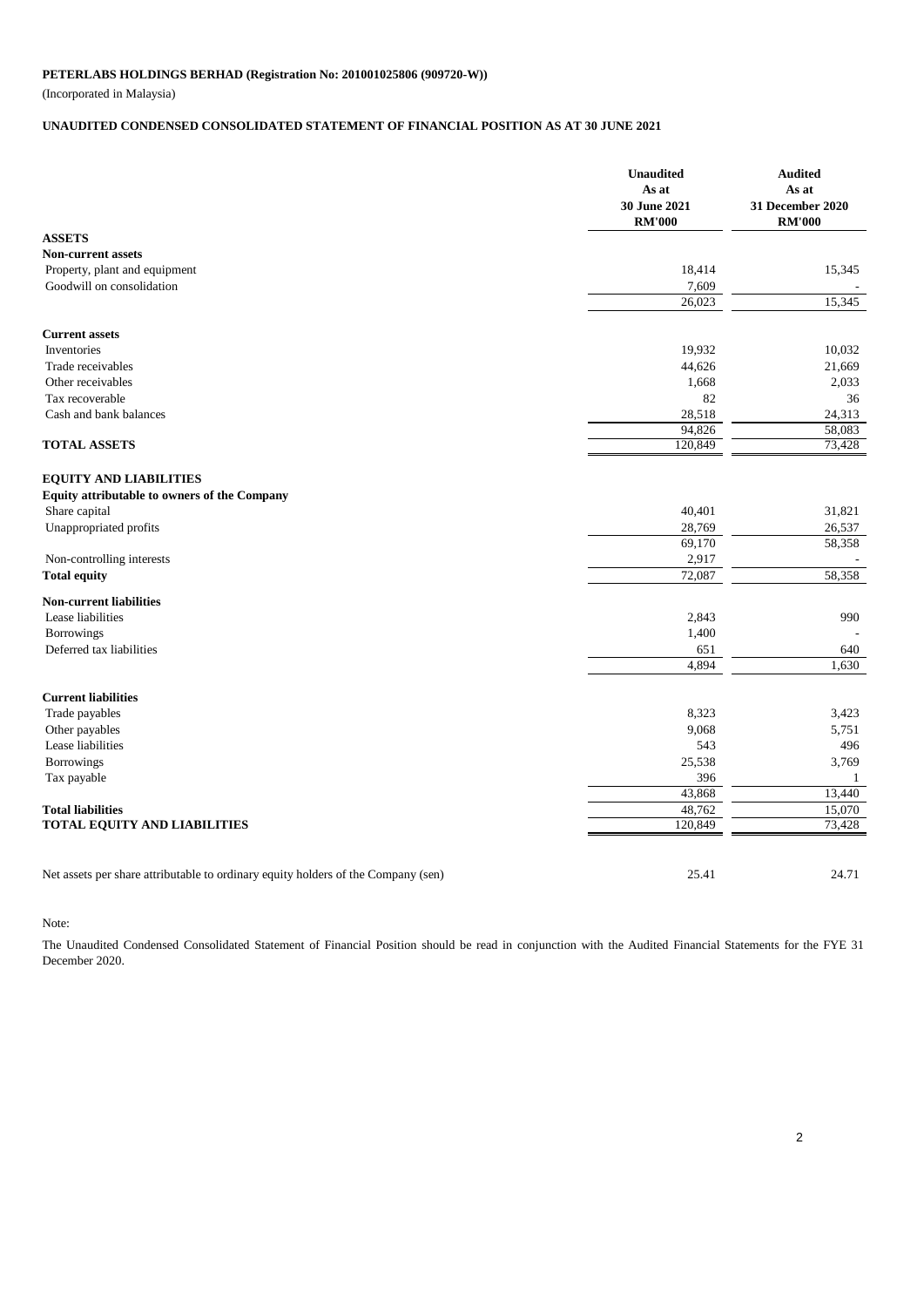(Incorporated in Malaysia)

## **UNAUDITED CONDENSED CONSOLIDATED STATEMENT OF FINANCIAL POSITION AS AT 30 JUNE 2021**

|                                                                                   | <b>Unaudited</b><br>As at<br>30 June 2021<br><b>RM'000</b> | <b>Audited</b><br>As at<br>31 December 2020<br><b>RM'000</b> |
|-----------------------------------------------------------------------------------|------------------------------------------------------------|--------------------------------------------------------------|
| <b>ASSETS</b>                                                                     |                                                            |                                                              |
| <b>Non-current assets</b>                                                         |                                                            |                                                              |
| Property, plant and equipment                                                     | 18,414                                                     | 15,345                                                       |
| Goodwill on consolidation                                                         | 7,609                                                      |                                                              |
|                                                                                   | 26,023                                                     | 15,345                                                       |
| <b>Current assets</b>                                                             |                                                            |                                                              |
| Inventories                                                                       | 19,932                                                     | 10,032                                                       |
| Trade receivables                                                                 | 44,626                                                     | 21,669                                                       |
| Other receivables                                                                 | 1,668                                                      | 2,033                                                        |
| Tax recoverable                                                                   | 82                                                         | 36                                                           |
| Cash and bank balances                                                            | 28,518                                                     | 24,313                                                       |
|                                                                                   | 94,826                                                     | 58,083                                                       |
| <b>TOTAL ASSETS</b>                                                               | 120,849                                                    | 73,428                                                       |
|                                                                                   |                                                            |                                                              |
| <b>EQUITY AND LIABILITIES</b>                                                     |                                                            |                                                              |
| Equity attributable to owners of the Company<br>Share capital                     | 40,401                                                     | 31,821                                                       |
| Unappropriated profits                                                            | 28,769                                                     | 26,537                                                       |
|                                                                                   | 69,170                                                     | 58,358                                                       |
| Non-controlling interests                                                         | 2,917                                                      |                                                              |
| <b>Total equity</b>                                                               | 72,087                                                     | 58,358                                                       |
| <b>Non-current liabilities</b>                                                    |                                                            |                                                              |
| Lease liabilities                                                                 | 2,843                                                      | 990                                                          |
| <b>Borrowings</b>                                                                 | 1,400                                                      |                                                              |
| Deferred tax liabilities                                                          | 651                                                        | 640                                                          |
|                                                                                   | 4,894                                                      | 1,630                                                        |
|                                                                                   |                                                            |                                                              |
| <b>Current liabilities</b>                                                        |                                                            |                                                              |
| Trade payables                                                                    | 8,323                                                      | 3,423                                                        |
| Other payables<br>Lease liabilities                                               | 9,068                                                      | 5,751                                                        |
|                                                                                   | 543<br>25,538                                              | 496<br>3,769                                                 |
| <b>Borrowings</b><br>Tax payable                                                  | 396                                                        | 1                                                            |
|                                                                                   | 43,868                                                     | 13,440                                                       |
| <b>Total liabilities</b>                                                          | 48,762                                                     | 15,070                                                       |
| <b>TOTAL EQUITY AND LIABILITIES</b>                                               | 120,849                                                    | 73,428                                                       |
|                                                                                   |                                                            |                                                              |
| Net assets per share attributable to ordinary equity holders of the Company (sen) | 25.41                                                      | 24.71                                                        |

Note:

The Unaudited Condensed Consolidated Statement of Financial Position should be read in conjunction with the Audited Financial Statements for the FYE 31 December 2020.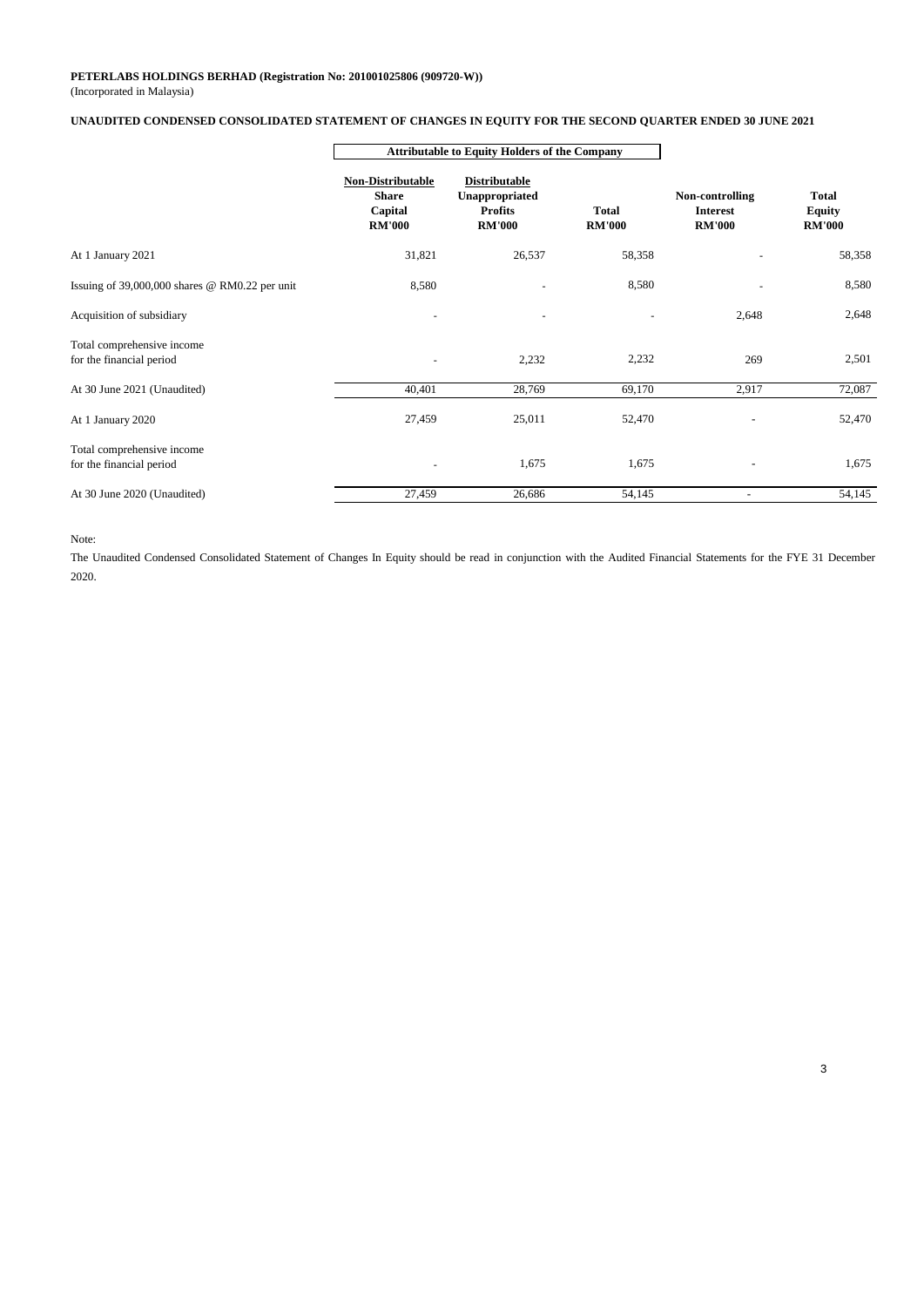#### (Incorporated in Malaysia) **PETERLABS HOLDINGS BERHAD (Registration No: 201001025806 (909720-W))**

#### **UNAUDITED CONDENSED CONSOLIDATED STATEMENT OF CHANGES IN EQUITY FOR THE SECOND QUARTER ENDED 30 JUNE 2021**

|                                                        | <b>Attributable to Equity Holders of the Company</b>          |                                                                           |                               |                                                     |                                                |
|--------------------------------------------------------|---------------------------------------------------------------|---------------------------------------------------------------------------|-------------------------------|-----------------------------------------------------|------------------------------------------------|
|                                                        | Non-Distributable<br><b>Share</b><br>Capital<br><b>RM'000</b> | <b>Distributable</b><br>Unappropriated<br><b>Profits</b><br><b>RM'000</b> | <b>Total</b><br><b>RM'000</b> | Non-controlling<br><b>Interest</b><br><b>RM'000</b> | <b>Total</b><br><b>Equity</b><br><b>RM'000</b> |
| At 1 January 2021                                      | 31,821                                                        | 26,537                                                                    | 58,358                        |                                                     | 58,358                                         |
| Issuing of $39,000,000$ shares @ RM0.22 per unit       | 8,580                                                         |                                                                           | 8,580                         |                                                     | 8,580                                          |
| Acquisition of subsidiary                              |                                                               |                                                                           |                               | 2,648                                               | 2,648                                          |
| Total comprehensive income<br>for the financial period | ٠                                                             | 2,232                                                                     | 2,232                         | 269                                                 | 2,501                                          |
| At 30 June 2021 (Unaudited)                            | 40,401                                                        | 28,769                                                                    | 69,170                        | 2,917                                               | 72,087                                         |
| At 1 January 2020                                      | 27,459                                                        | 25,011                                                                    | 52,470                        |                                                     | 52,470                                         |
| Total comprehensive income<br>for the financial period |                                                               | 1,675                                                                     | 1,675                         |                                                     | 1,675                                          |
| At 30 June 2020 (Unaudited)                            | 27,459                                                        | 26,686                                                                    | 54,145                        |                                                     | 54,145                                         |

#### Note:

The Unaudited Condensed Consolidated Statement of Changes In Equity should be read in conjunction with the Audited Financial Statements for the FYE 31 December 2020.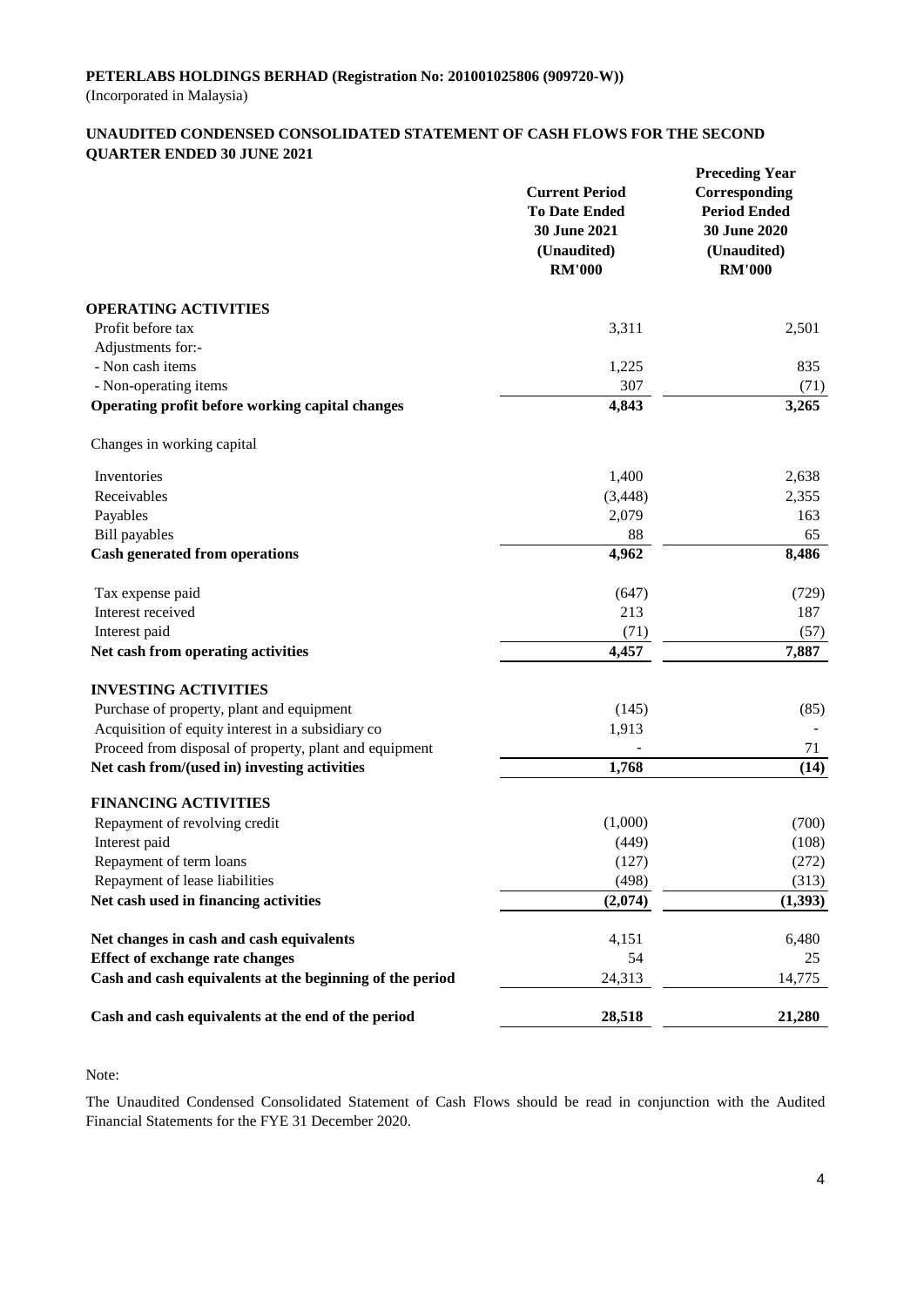#### **UNAUDITED CONDENSED CONSOLIDATED STATEMENT OF CASH FLOWS FOR THE SECOND QUARTER ENDED 30 JUNE 2021**

|                                                          | <b>Current Period</b><br><b>To Date Ended</b><br>30 June 2021<br>(Unaudited)<br><b>RM'000</b> | <b>Preceding Year</b><br>Corresponding<br><b>Period Ended</b><br>30 June 2020<br>(Unaudited)<br><b>RM'000</b> |
|----------------------------------------------------------|-----------------------------------------------------------------------------------------------|---------------------------------------------------------------------------------------------------------------|
| <b>OPERATING ACTIVITIES</b>                              |                                                                                               |                                                                                                               |
| Profit before tax                                        | 3,311                                                                                         | 2,501                                                                                                         |
| Adjustments for:-                                        |                                                                                               |                                                                                                               |
| - Non cash items                                         | 1,225                                                                                         | 835                                                                                                           |
| - Non-operating items                                    | 307                                                                                           | (71)                                                                                                          |
| Operating profit before working capital changes          | 4,843                                                                                         | 3,265                                                                                                         |
| Changes in working capital                               |                                                                                               |                                                                                                               |
| Inventories                                              | 1,400                                                                                         | 2,638                                                                                                         |
| Receivables                                              | (3, 448)                                                                                      | 2,355                                                                                                         |
| Payables                                                 | 2,079                                                                                         | 163                                                                                                           |
| <b>Bill</b> payables                                     | 88                                                                                            | 65                                                                                                            |
| <b>Cash generated from operations</b>                    | 4,962                                                                                         | 8,486                                                                                                         |
| Tax expense paid                                         | (647)                                                                                         | (729)                                                                                                         |
| Interest received                                        | 213                                                                                           | 187                                                                                                           |
| Interest paid                                            | (71)                                                                                          | (57)                                                                                                          |
| Net cash from operating activities                       | 4,457                                                                                         | 7,887                                                                                                         |
| <b>INVESTING ACTIVITIES</b>                              |                                                                                               |                                                                                                               |
| Purchase of property, plant and equipment                | (145)                                                                                         | (85)                                                                                                          |
| Acquisition of equity interest in a subsidiary co        | 1,913                                                                                         |                                                                                                               |
| Proceed from disposal of property, plant and equipment   |                                                                                               | 71                                                                                                            |
| Net cash from/(used in) investing activities             | 1,768                                                                                         | (14)                                                                                                          |
| <b>FINANCING ACTIVITIES</b>                              |                                                                                               |                                                                                                               |
| Repayment of revolving credit                            | (1,000)                                                                                       | (700)                                                                                                         |
| Interest paid                                            | (449)                                                                                         | (108)                                                                                                         |
| Repayment of term loans                                  | (127)                                                                                         | (272)                                                                                                         |
| Repayment of lease liabilities                           | (498)                                                                                         | (313)                                                                                                         |
| Net cash used in financing activities                    | (2,074)                                                                                       | (1, 393)                                                                                                      |
| Net changes in cash and cash equivalents                 | 4,151                                                                                         | 6,480                                                                                                         |
| <b>Effect of exchange rate changes</b>                   | 54                                                                                            | 25                                                                                                            |
| Cash and cash equivalents at the beginning of the period | 24,313                                                                                        | 14,775                                                                                                        |
| Cash and cash equivalents at the end of the period       | 28,518                                                                                        | 21,280                                                                                                        |

Note:

The Unaudited Condensed Consolidated Statement of Cash Flows should be read in conjunction with the Audited Financial Statements for the FYE 31 December 2020.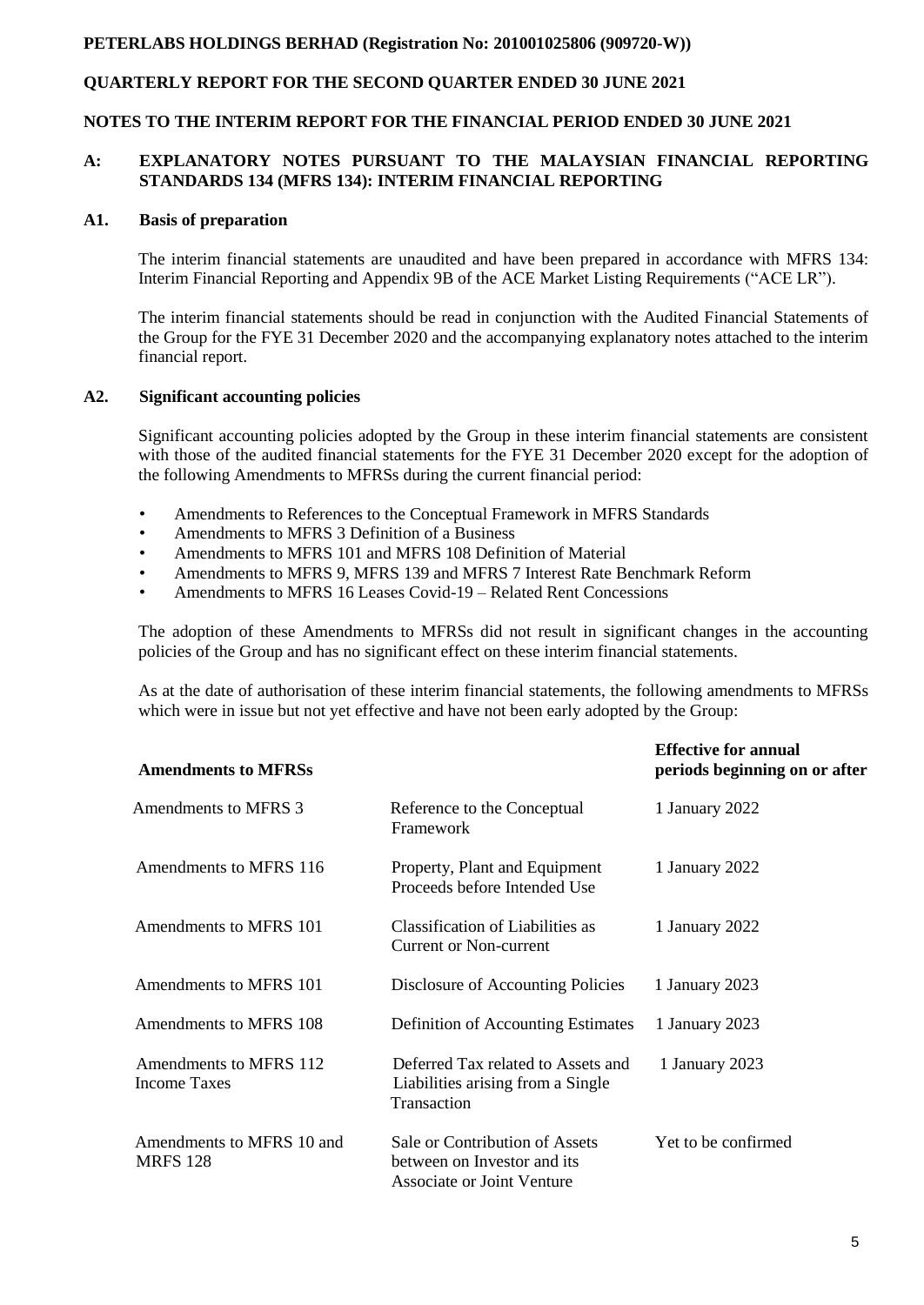# **QUARTERLY REPORT FOR THE SECOND QUARTER ENDED 30 JUNE 2021**

#### **NOTES TO THE INTERIM REPORT FOR THE FINANCIAL PERIOD ENDED 30 JUNE 2021**

#### **A: EXPLANATORY NOTES PURSUANT TO THE MALAYSIAN FINANCIAL REPORTING STANDARDS 134 (MFRS 134): INTERIM FINANCIAL REPORTING**

#### **A1. Basis of preparation**

The interim financial statements are unaudited and have been prepared in accordance with MFRS 134: Interim Financial Reporting and Appendix 9B of the ACE Market Listing Requirements ("ACE LR").

The interim financial statements should be read in conjunction with the Audited Financial Statements of the Group for the FYE 31 December 2020 and the accompanying explanatory notes attached to the interim financial report.

#### **A2. Significant accounting policies**

Significant accounting policies adopted by the Group in these interim financial statements are consistent with those of the audited financial statements for the FYE 31 December 2020 except for the adoption of the following Amendments to MFRSs during the current financial period:

- Amendments to References to the Conceptual Framework in MFRS Standards
- Amendments to MFRS 3 Definition of a Business
- Amendments to MFRS 101 and MFRS 108 Definition of Material
- Amendments to MFRS 9, MFRS 139 and MFRS 7 Interest Rate Benchmark Reform
- Amendments to MFRS 16 Leases Covid-19 Related Rent Concessions

The adoption of these Amendments to MFRSs did not result in significant changes in the accounting policies of the Group and has no significant effect on these interim financial statements.

As at the date of authorisation of these interim financial statements, the following amendments to MFRSs which were in issue but not yet effective and have not been early adopted by the Group:

| <b>Amendments to MFRSs</b>                    |                                                                                             | <b>Effective for annual</b><br>periods beginning on or after |
|-----------------------------------------------|---------------------------------------------------------------------------------------------|--------------------------------------------------------------|
| Amendments to MFRS 3                          | Reference to the Conceptual<br>Framework                                                    | 1 January 2022                                               |
| Amendments to MFRS 116                        | Property, Plant and Equipment<br>Proceeds before Intended Use                               | 1 January 2022                                               |
| Amendments to MFRS 101                        | Classification of Liabilities as<br>Current or Non-current                                  | 1 January 2022                                               |
| Amendments to MFRS 101                        | Disclosure of Accounting Policies                                                           | 1 January 2023                                               |
| Amendments to MFRS 108                        | Definition of Accounting Estimates                                                          | 1 January 2023                                               |
| Amendments to MFRS 112<br><b>Income Taxes</b> | Deferred Tax related to Assets and<br>Liabilities arising from a Single<br>Transaction      | 1 January 2023                                               |
| Amendments to MFRS 10 and<br><b>MRFS 128</b>  | Sale or Contribution of Assets<br>between on Investor and its<br>Associate or Joint Venture | Yet to be confirmed                                          |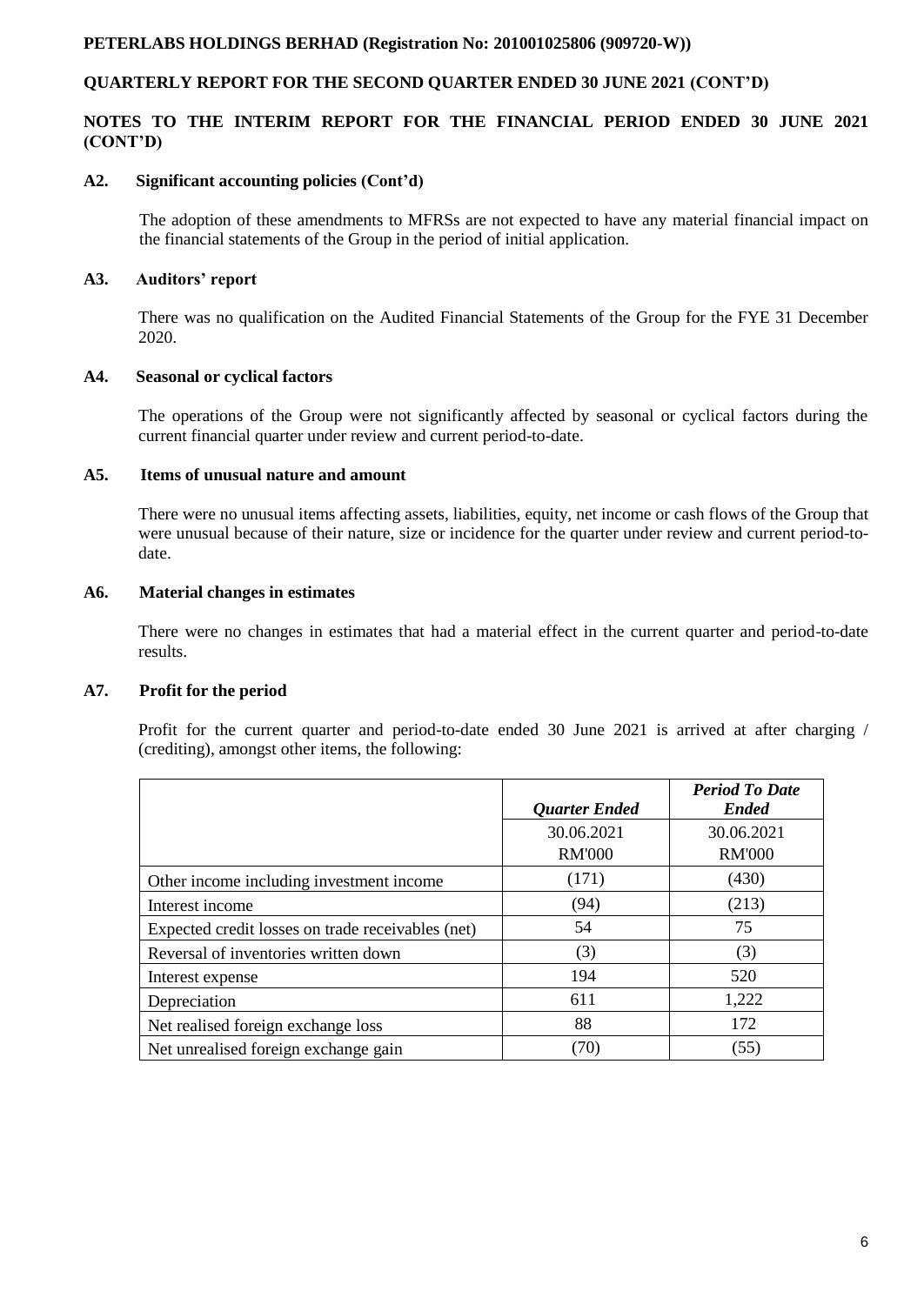## **QUARTERLY REPORT FOR THE SECOND QUARTER ENDED 30 JUNE 2021 (CONT'D)**

## **NOTES TO THE INTERIM REPORT FOR THE FINANCIAL PERIOD ENDED 30 JUNE 2021 (CONT'D)**

#### **A2. Significant accounting policies (Cont'd)**

The adoption of these amendments to MFRSs are not expected to have any material financial impact on the financial statements of the Group in the period of initial application.

## **A3. Auditors' report**

There was no qualification on the Audited Financial Statements of the Group for the FYE 31 December 2020.

## **A4. Seasonal or cyclical factors**

The operations of the Group were not significantly affected by seasonal or cyclical factors during the current financial quarter under review and current period-to-date.

## **A5. Items of unusual nature and amount**

There were no unusual items affecting assets, liabilities, equity, net income or cash flows of the Group that were unusual because of their nature, size or incidence for the quarter under review and current period-todate.

## **A6. Material changes in estimates**

There were no changes in estimates that had a material effect in the current quarter and period-to-date results.

#### **A7. Profit for the period**

Profit for the current quarter and period-to-date ended 30 June 2021 is arrived at after charging / (crediting), amongst other items, the following:

|                                                   | <b>Quarter Ended</b>        | <b>Period To Date</b><br><b>Ended</b> |
|---------------------------------------------------|-----------------------------|---------------------------------------|
|                                                   | 30.06.2021<br><b>RM'000</b> | 30.06.2021<br><b>RM'000</b>           |
| Other income including investment income          | (171)                       | (430)                                 |
| Interest income                                   | (94)                        | (213)                                 |
| Expected credit losses on trade receivables (net) | 54                          | 75                                    |
| Reversal of inventories written down              | (3)                         | (3)                                   |
| Interest expense                                  | 194                         | 520                                   |
| Depreciation                                      | 611                         | 1,222                                 |
| Net realised foreign exchange loss                | 88                          | 172                                   |
| Net unrealised foreign exchange gain              | (70)                        | (55)                                  |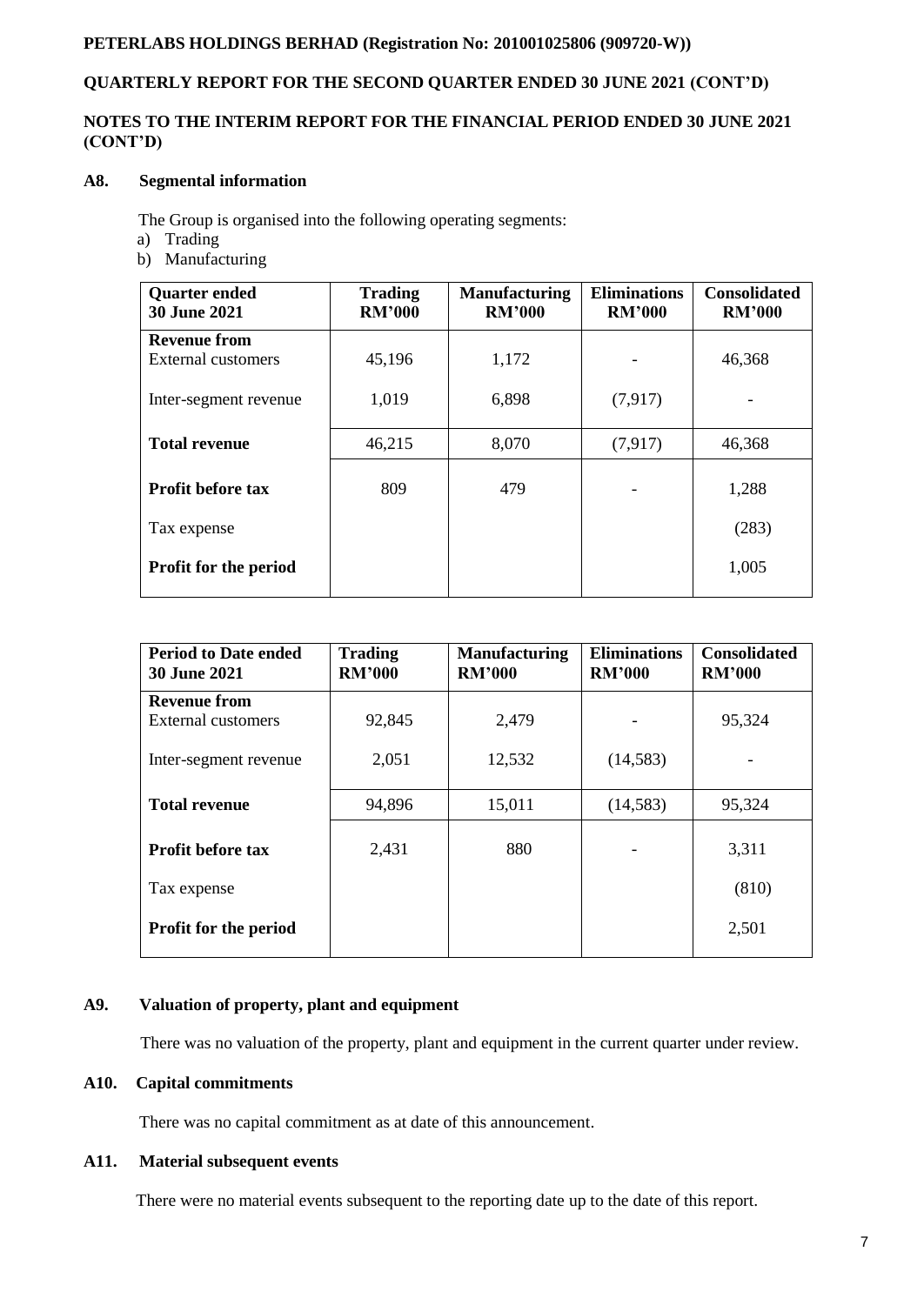# **QUARTERLY REPORT FOR THE SECOND QUARTER ENDED 30 JUNE 2021 (CONT'D)**

## **NOTES TO THE INTERIM REPORT FOR THE FINANCIAL PERIOD ENDED 30 JUNE 2021 (CONT'D)**

## **A8. Segmental information**

The Group is organised into the following operating segments:

- a) Trading
- b) Manufacturing

| <b>Quarter ended</b><br><b>30 June 2021</b> | <b>Trading</b><br><b>RM'000</b> | <b>Manufacturing</b><br><b>RM'000</b> | <b>Eliminations</b><br><b>RM'000</b> | <b>Consolidated</b><br><b>RM'000</b> |
|---------------------------------------------|---------------------------------|---------------------------------------|--------------------------------------|--------------------------------------|
| <b>Revenue from</b>                         |                                 |                                       |                                      |                                      |
| External customers                          | 45,196                          | 1,172                                 |                                      | 46,368                               |
| Inter-segment revenue                       | 1,019                           | 6,898                                 | (7,917)                              |                                      |
| <b>Total revenue</b>                        | 46,215                          | 8,070                                 | (7,917)                              | 46,368                               |
| <b>Profit before tax</b>                    | 809                             | 479                                   |                                      | 1,288                                |
| Tax expense                                 |                                 |                                       |                                      | (283)                                |
| <b>Profit for the period</b>                |                                 |                                       |                                      | 1,005                                |

| <b>Period to Date ended</b><br><b>30 June 2021</b> | <b>Trading</b><br><b>RM'000</b> | <b>Manufacturing</b><br><b>RM'000</b> | <b>Eliminations</b><br><b>RM'000</b> | <b>Consolidated</b><br><b>RM'000</b> |
|----------------------------------------------------|---------------------------------|---------------------------------------|--------------------------------------|--------------------------------------|
| <b>Revenue from</b>                                |                                 |                                       |                                      |                                      |
| External customers                                 | 92,845                          | 2,479                                 |                                      | 95,324                               |
| Inter-segment revenue                              | 2,051                           | 12,532                                | (14,583)                             |                                      |
| <b>Total revenue</b>                               | 94,896                          | 15,011                                | (14,583)                             | 95,324                               |
| <b>Profit before tax</b>                           | 2,431                           | 880                                   |                                      | 3,311                                |
| Tax expense                                        |                                 |                                       |                                      | (810)                                |
| Profit for the period                              |                                 |                                       |                                      | 2,501                                |

#### **A9. Valuation of property, plant and equipment**

There was no valuation of the property, plant and equipment in the current quarter under review.

#### **A10. Capital commitments**

There was no capital commitment as at date of this announcement.

# **A11. Material subsequent events**

There were no material events subsequent to the reporting date up to the date of this report.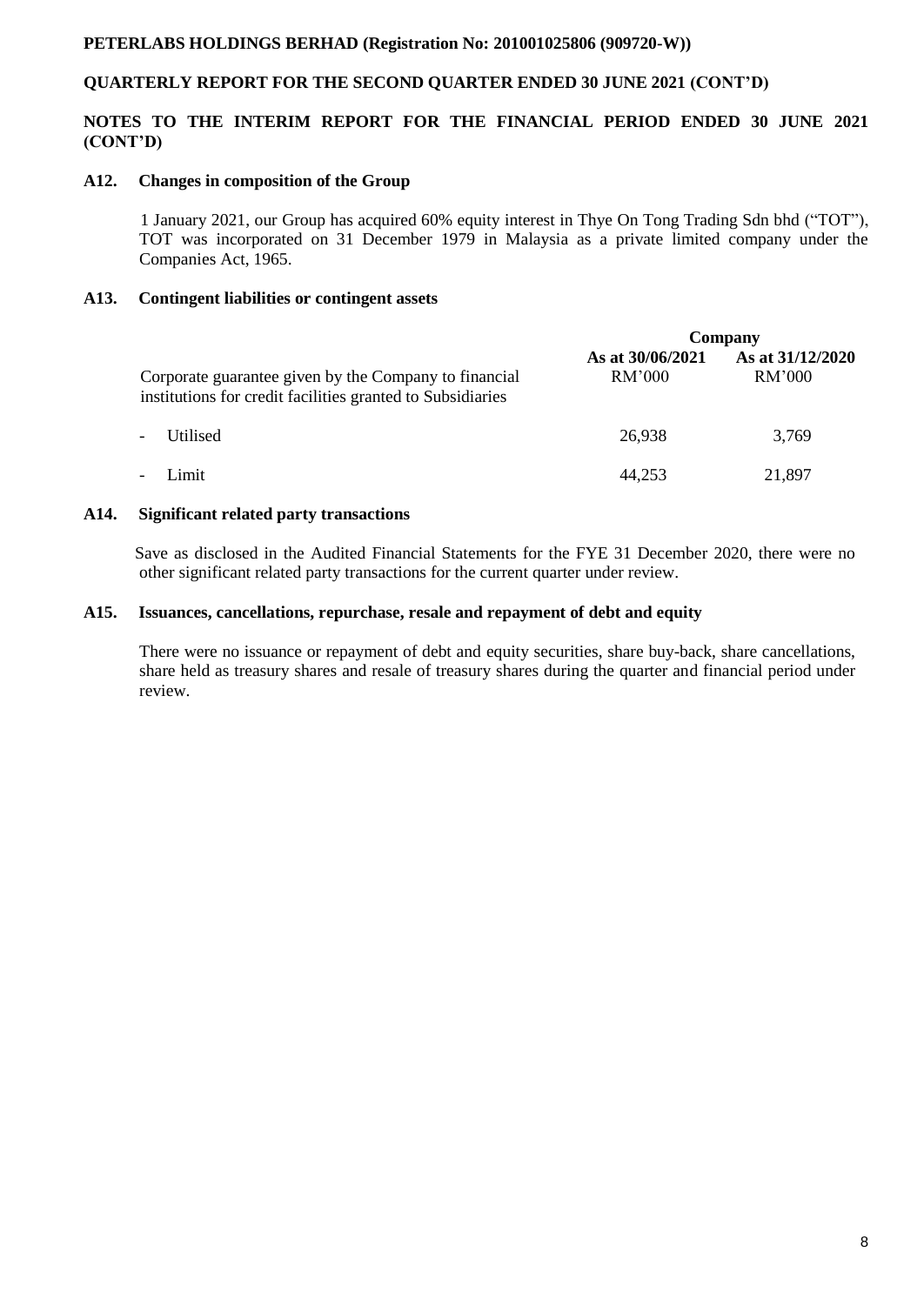# **QUARTERLY REPORT FOR THE SECOND QUARTER ENDED 30 JUNE 2021 (CONT'D)**

## **NOTES TO THE INTERIM REPORT FOR THE FINANCIAL PERIOD ENDED 30 JUNE 2021 (CONT'D)**

#### **A12. Changes in composition of the Group**

 1 January 2021, our Group has acquired 60% equity interest in Thye On Tong Trading Sdn bhd ("TOT"), TOT was incorporated on 31 December 1979 in Malaysia as a private limited company under the Companies Act, 1965.

## **A13. Contingent liabilities or contingent assets**

|                                                                                                                     | Company                    |                            |
|---------------------------------------------------------------------------------------------------------------------|----------------------------|----------------------------|
| Corporate guarantee given by the Company to financial<br>institutions for credit facilities granted to Subsidiaries | As at 30/06/2021<br>RM'000 | As at 31/12/2020<br>RM'000 |
| Utilised<br>$\overline{\phantom{a}}$                                                                                | 26,938                     | 3,769                      |
| Limit<br>$\overline{\phantom{a}}$                                                                                   | 44,253                     | 21,897                     |

#### **A14. Significant related party transactions**

Save as disclosed in the Audited Financial Statements for the FYE 31 December 2020, there were no other significant related party transactions for the current quarter under review.

#### **A15. Issuances, cancellations, repurchase, resale and repayment of debt and equity**

There were no issuance or repayment of debt and equity securities, share buy-back, share cancellations, share held as treasury shares and resale of treasury shares during the quarter and financial period under review.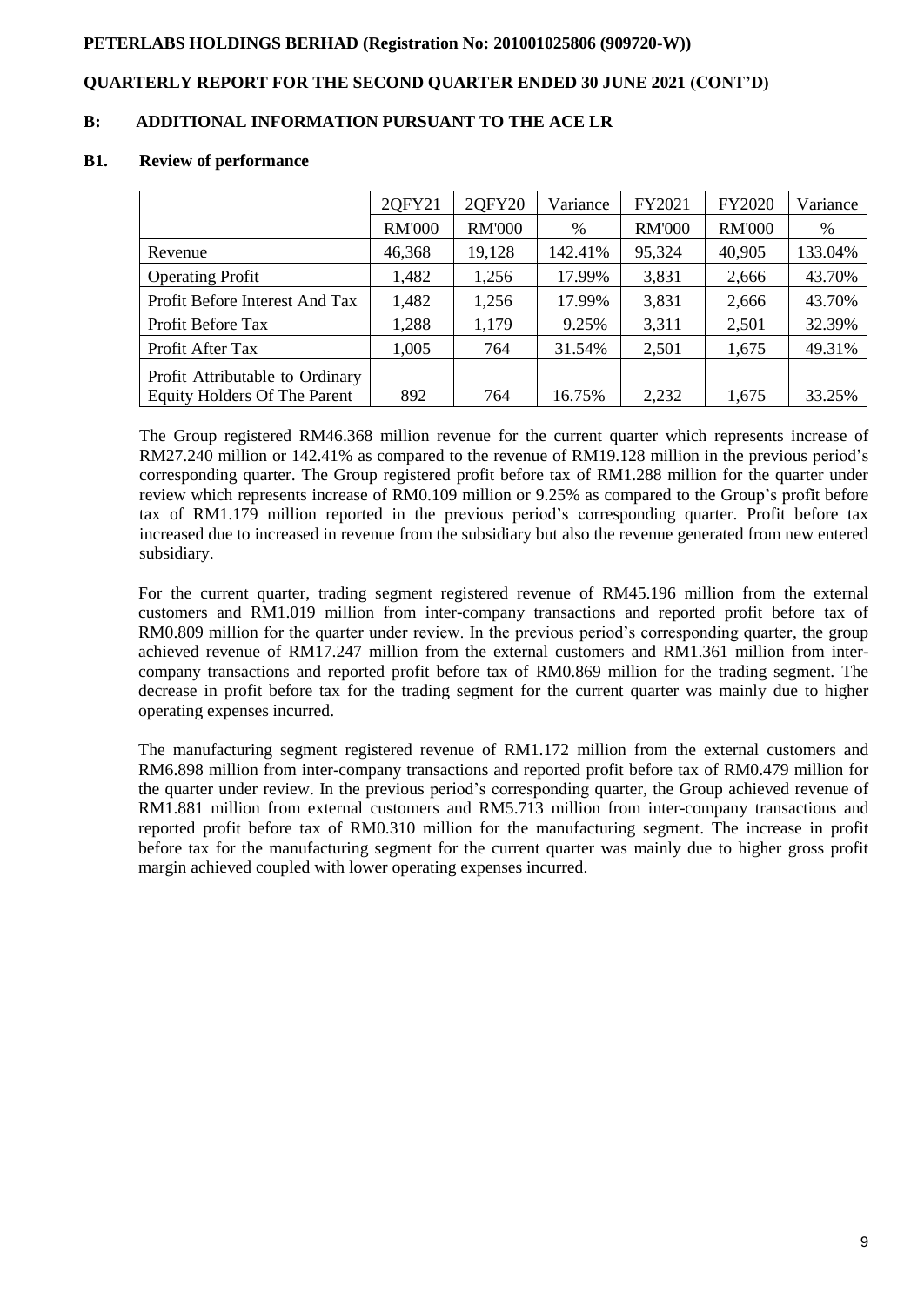## **QUARTERLY REPORT FOR THE SECOND QUARTER ENDED 30 JUNE 2021 (CONT'D)**

## **B: ADDITIONAL INFORMATION PURSUANT TO THE ACE LR**

#### **B1. Review of performance**

|                                     | 20FY21        | 2QFY20        | Variance | FY2021        | <b>FY2020</b> | Variance |
|-------------------------------------|---------------|---------------|----------|---------------|---------------|----------|
|                                     | <b>RM'000</b> | <b>RM'000</b> | %        | <b>RM'000</b> | <b>RM'000</b> | %        |
| Revenue                             | 46,368        | 19,128        | 142.41%  | 95,324        | 40,905        | 133.04%  |
| <b>Operating Profit</b>             | 1,482         | 1,256         | 17.99%   | 3,831         | 2,666         | 43.70%   |
| Profit Before Interest And Tax      | 1,482         | 1,256         | 17.99%   | 3,831         | 2,666         | 43.70%   |
| Profit Before Tax                   | 1,288         | 1,179         | 9.25%    | 3,311         | 2,501         | 32.39%   |
| Profit After Tax                    | 1,005         | 764           | 31.54%   | 2,501         | 1,675         | 49.31%   |
| Profit Attributable to Ordinary     |               |               |          |               |               |          |
| <b>Equity Holders Of The Parent</b> | 892           | 764           | 16.75%   | 2,232         | 1,675         | 33.25%   |

The Group registered RM46.368 million revenue for the current quarter which represents increase of RM27.240 million or 142.41% as compared to the revenue of RM19.128 million in the previous period's corresponding quarter. The Group registered profit before tax of RM1.288 million for the quarter under review which represents increase of RM0.109 million or 9.25% as compared to the Group's profit before tax of RM1.179 million reported in the previous period's corresponding quarter. Profit before tax increased due to increased in revenue from the subsidiary but also the revenue generated from new entered subsidiary.

For the current quarter, trading segment registered revenue of RM45.196 million from the external customers and RM1.019 million from inter-company transactions and reported profit before tax of RM0.809 million for the quarter under review. In the previous period's corresponding quarter, the group achieved revenue of RM17.247 million from the external customers and RM1.361 million from intercompany transactions and reported profit before tax of RM0.869 million for the trading segment. The decrease in profit before tax for the trading segment for the current quarter was mainly due to higher operating expenses incurred.

The manufacturing segment registered revenue of RM1.172 million from the external customers and RM6.898 million from inter-company transactions and reported profit before tax of RM0.479 million for the quarter under review. In the previous period's corresponding quarter, the Group achieved revenue of RM1.881 million from external customers and RM5.713 million from inter-company transactions and reported profit before tax of RM0.310 million for the manufacturing segment. The increase in profit before tax for the manufacturing segment for the current quarter was mainly due to higher gross profit margin achieved coupled with lower operating expenses incurred.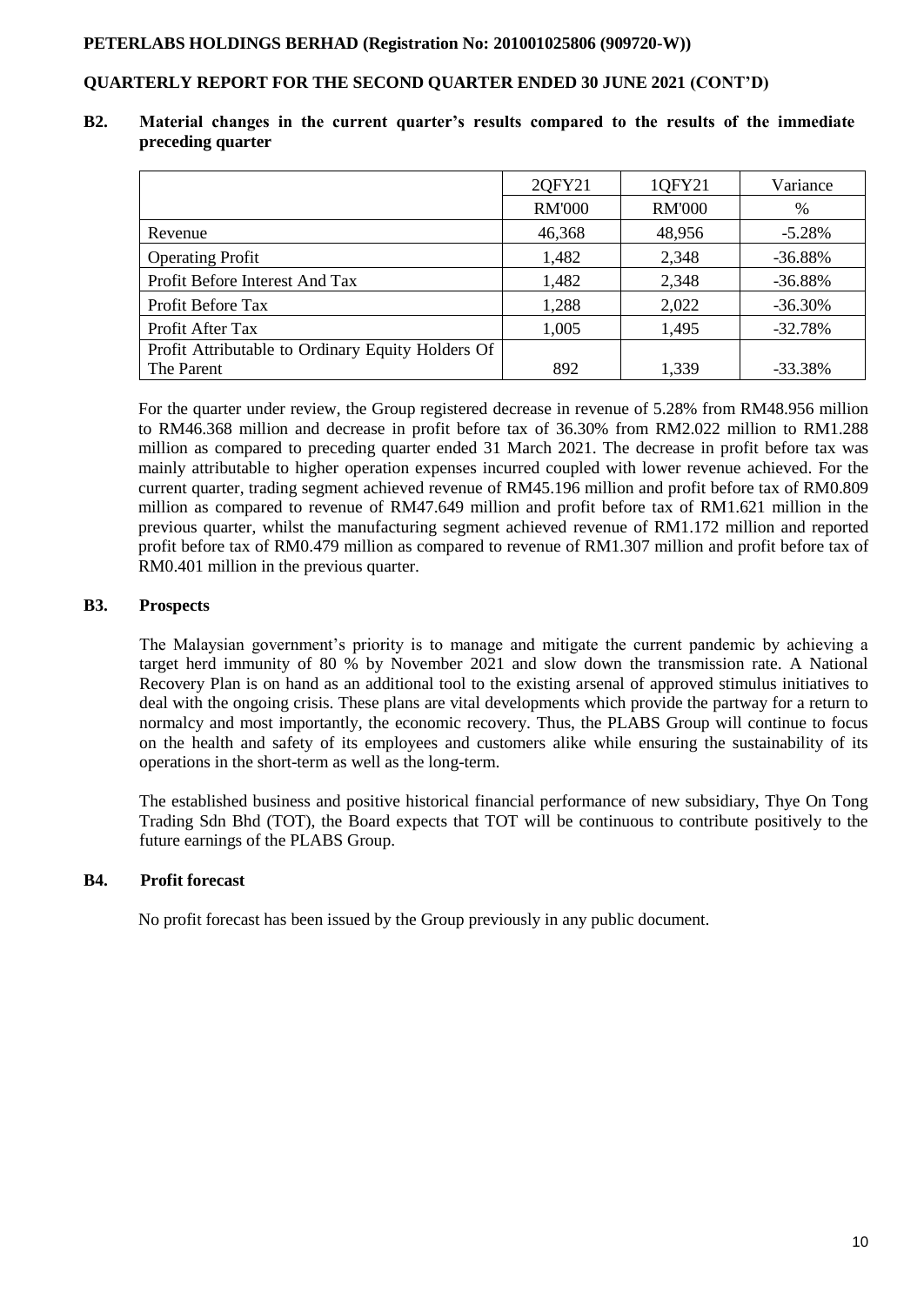## **QUARTERLY REPORT FOR THE SECOND QUARTER ENDED 30 JUNE 2021 (CONT'D)**

**B2. Material changes in the current quarter's results compared to the results of the immediate preceding quarter**

|                                                   | 2QFY21        | 1QFY21        | Variance  |
|---------------------------------------------------|---------------|---------------|-----------|
|                                                   | <b>RM'000</b> | <b>RM'000</b> | $\%$      |
| Revenue                                           | 46,368        | 48,956        | $-5.28%$  |
| <b>Operating Profit</b>                           | 1,482         | 2,348         | $-36.88%$ |
| Profit Before Interest And Tax                    | 1,482         | 2,348         | $-36.88%$ |
| Profit Before Tax                                 | 1,288         | 2,022         | $-36.30%$ |
| Profit After Tax                                  | 1,005         | 1,495         | $-32.78%$ |
| Profit Attributable to Ordinary Equity Holders Of |               |               |           |
| The Parent                                        | 892           | 1,339         | $-33.38%$ |

For the quarter under review, the Group registered decrease in revenue of 5.28% from RM48.956 million to RM46.368 million and decrease in profit before tax of 36.30% from RM2.022 million to RM1.288 million as compared to preceding quarter ended 31 March 2021. The decrease in profit before tax was mainly attributable to higher operation expenses incurred coupled with lower revenue achieved. For the current quarter, trading segment achieved revenue of RM45.196 million and profit before tax of RM0.809 million as compared to revenue of RM47.649 million and profit before tax of RM1.621 million in the previous quarter, whilst the manufacturing segment achieved revenue of RM1.172 million and reported profit before tax of RM0.479 million as compared to revenue of RM1.307 million and profit before tax of RM0.401 million in the previous quarter.

## **B3. Prospects**

The Malaysian government's priority is to manage and mitigate the current pandemic by achieving a target herd immunity of 80 % by November 2021 and slow down the transmission rate. A National Recovery Plan is on hand as an additional tool to the existing arsenal of approved stimulus initiatives to deal with the ongoing crisis. These plans are vital developments which provide the partway for a return to normalcy and most importantly, the economic recovery. Thus, the PLABS Group will continue to focus on the health and safety of its employees and customers alike while ensuring the sustainability of its operations in the short-term as well as the long-term.

The established business and positive historical financial performance of new subsidiary, Thye On Tong Trading Sdn Bhd (TOT), the Board expects that TOT will be continuous to contribute positively to the future earnings of the PLABS Group.

#### **B4. Profit forecast**

No profit forecast has been issued by the Group previously in any public document.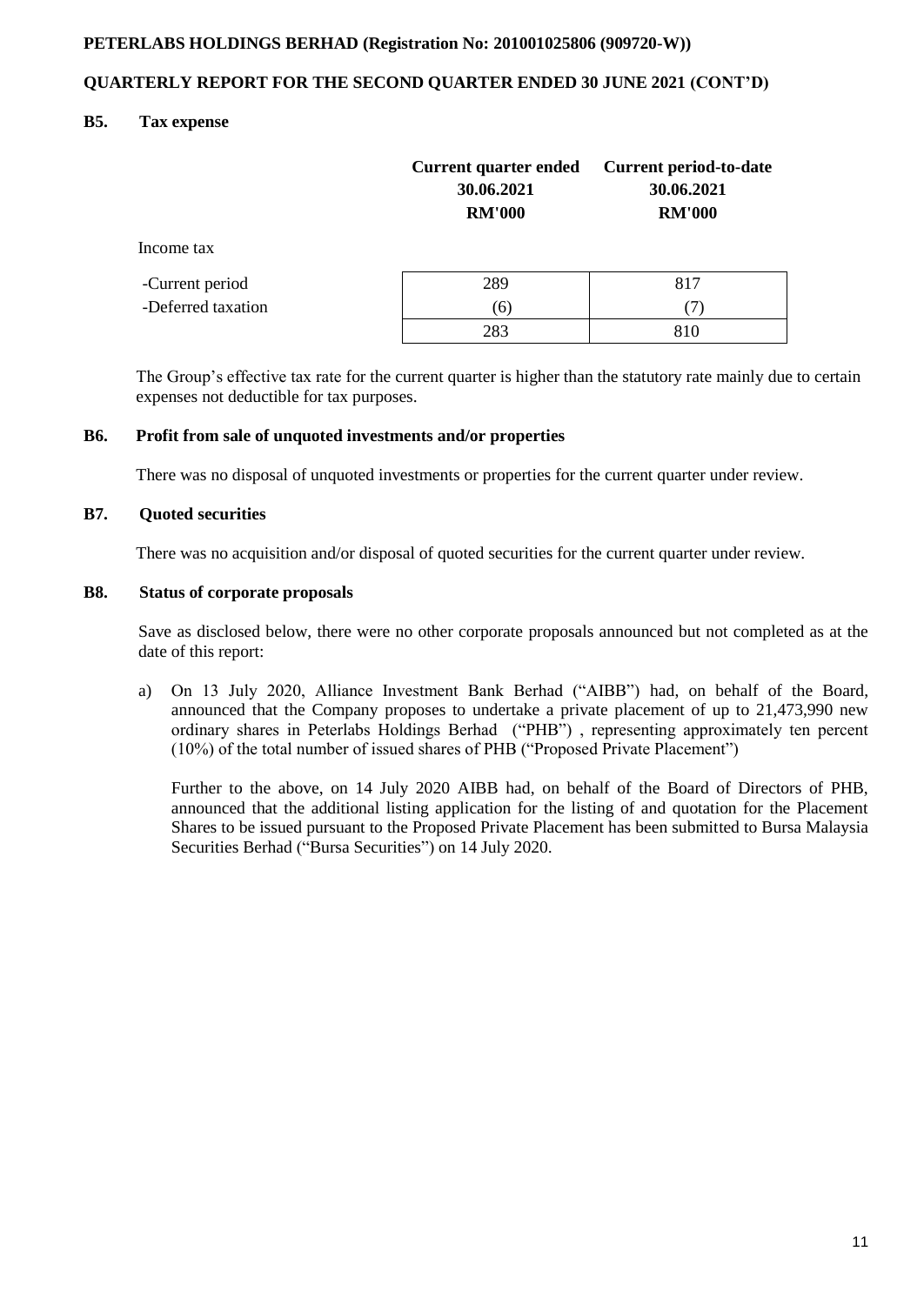## **QUARTERLY REPORT FOR THE SECOND QUARTER ENDED 30 JUNE 2021 (CONT'D)**

## **B5. Tax expense**

|                    | <b>Current quarter ended</b><br>30.06.2021<br><b>RM'000</b> | Current period-to-date<br>30.06.2021<br><b>RM'000</b> |
|--------------------|-------------------------------------------------------------|-------------------------------------------------------|
| Income tax         |                                                             |                                                       |
| -Current period    | 289                                                         | 817                                                   |
| -Deferred taxation | (6)                                                         | (7)                                                   |
|                    | 283                                                         | 810                                                   |

 The Group's effective tax rate for the current quarter is higher than the statutory rate mainly due to certain expenses not deductible for tax purposes.

#### **B6. Profit from sale of unquoted investments and/or properties**

There was no disposal of unquoted investments or properties for the current quarter under review.

#### **B7. Quoted securities**

There was no acquisition and/or disposal of quoted securities for the current quarter under review.

#### **B8. Status of corporate proposals**

Save as disclosed below, there were no other corporate proposals announced but not completed as at the date of this report:

a) On 13 July 2020, Alliance Investment Bank Berhad ("AIBB") had, on behalf of the Board, announced that the Company proposes to undertake a private placement of up to 21,473,990 new ordinary shares in Peterlabs Holdings Berhad ("PHB") , representing approximately ten percent (10%) of the total number of issued shares of PHB ("Proposed Private Placement")

Further to the above, on 14 July 2020 AIBB had, on behalf of the Board of Directors of PHB, announced that the additional listing application for the listing of and quotation for the Placement Shares to be issued pursuant to the Proposed Private Placement has been submitted to Bursa Malaysia Securities Berhad ("Bursa Securities") on 14 July 2020.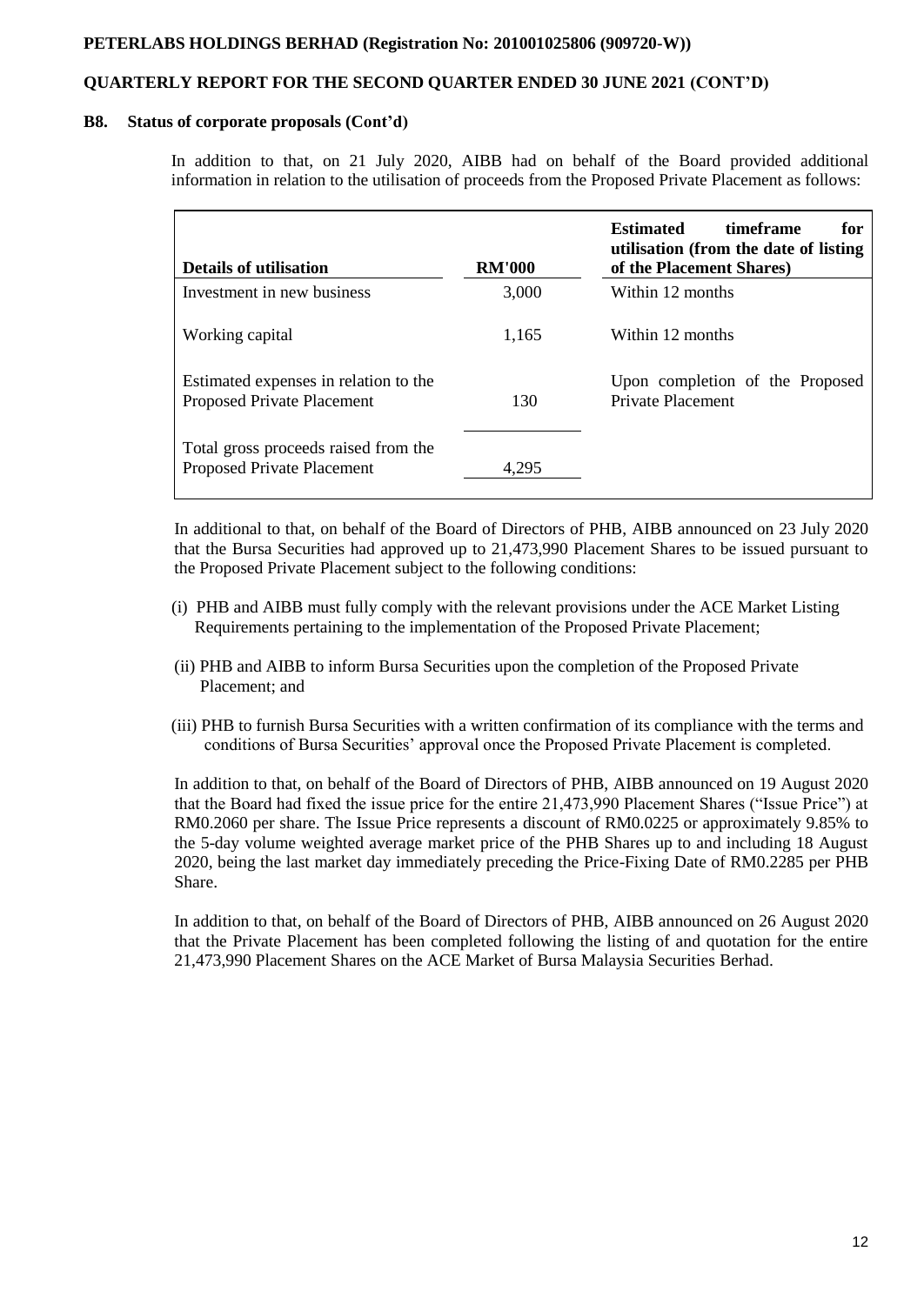# **QUARTERLY REPORT FOR THE SECOND QUARTER ENDED 30 JUNE 2021 (CONT'D)**

#### **B8. Status of corporate proposals (Cont'd)**

In addition to that, on 21 July 2020, AIBB had on behalf of the Board provided additional information in relation to the utilisation of proceeds from the Proposed Private Placement as follows:

| <b>Details of utilisation</b>                                              | <b>RM'000</b> | <b>Estimated</b><br>timeframe<br>for<br>utilisation (from the date of listing<br>of the Placement Shares) |
|----------------------------------------------------------------------------|---------------|-----------------------------------------------------------------------------------------------------------|
| Investment in new business                                                 | 3,000         | Within 12 months                                                                                          |
| Working capital                                                            | 1.165         | Within 12 months                                                                                          |
| Estimated expenses in relation to the<br><b>Proposed Private Placement</b> | 130           | Upon completion of the Proposed<br>Private Placement                                                      |
| Total gross proceeds raised from the<br><b>Proposed Private Placement</b>  | 4.295         |                                                                                                           |

In additional to that, on behalf of the Board of Directors of PHB, AIBB announced on 23 July 2020 that the Bursa Securities had approved up to 21,473,990 Placement Shares to be issued pursuant to the Proposed Private Placement subject to the following conditions:

- (i) PHB and AIBB must fully comply with the relevant provisions under the ACE Market Listing Requirements pertaining to the implementation of the Proposed Private Placement;
- (ii) PHB and AIBB to inform Bursa Securities upon the completion of the Proposed Private Placement; and
- (iii) PHB to furnish Bursa Securities with a written confirmation of its compliance with the terms and conditions of Bursa Securities' approval once the Proposed Private Placement is completed.

In addition to that, on behalf of the Board of Directors of PHB, AIBB announced on 19 August 2020 that the Board had fixed the issue price for the entire 21,473,990 Placement Shares ("Issue Price") at RM0.2060 per share. The Issue Price represents a discount of RM0.0225 or approximately 9.85% to the 5-day volume weighted average market price of the PHB Shares up to and including 18 August 2020, being the last market day immediately preceding the Price-Fixing Date of RM0.2285 per PHB Share.

In addition to that, on behalf of the Board of Directors of PHB, AIBB announced on 26 August 2020 that the Private Placement has been completed following the listing of and quotation for the entire 21,473,990 Placement Shares on the ACE Market of Bursa Malaysia Securities Berhad.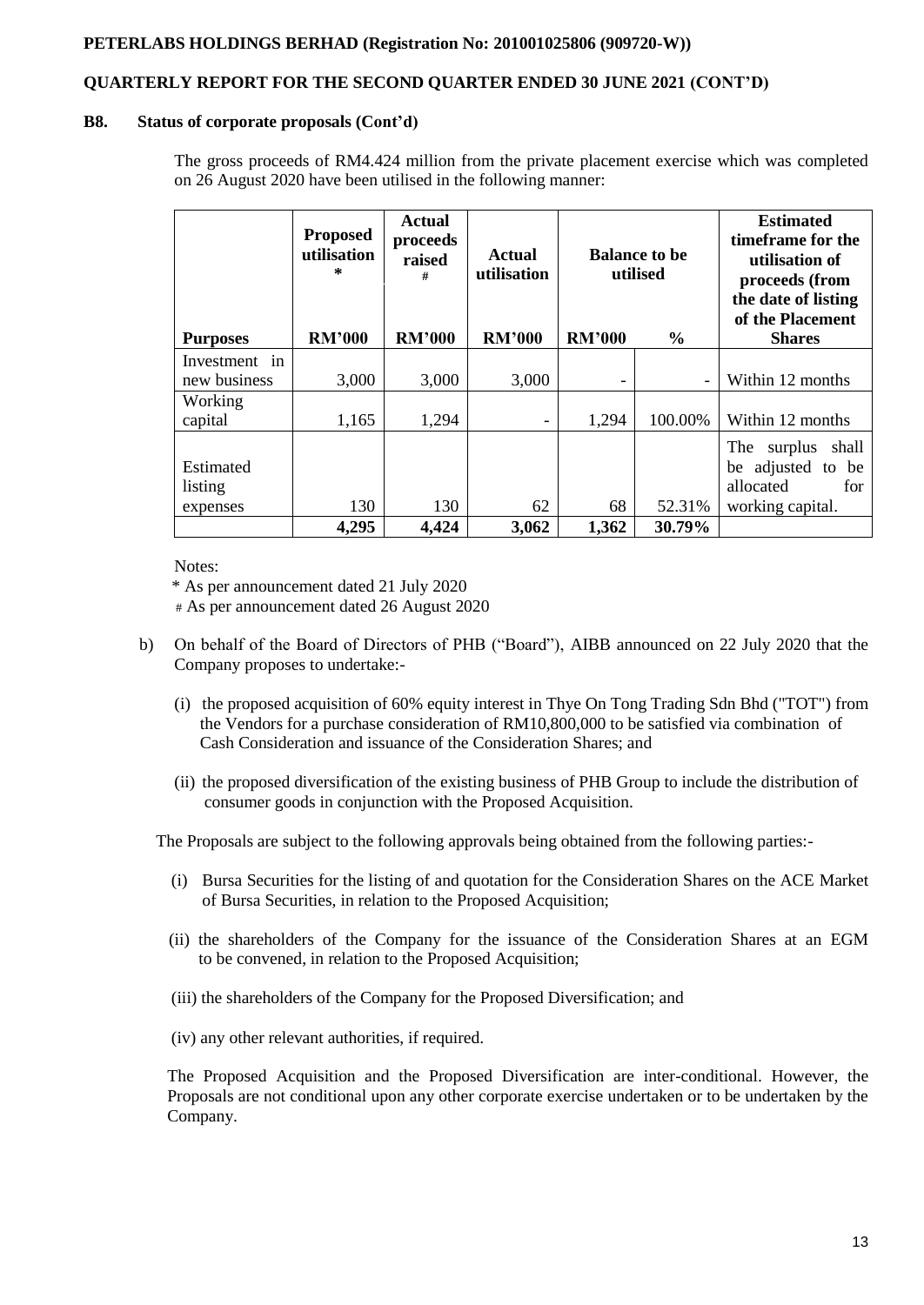# **QUARTERLY REPORT FOR THE SECOND QUARTER ENDED 30 JUNE 2021 (CONT'D)**

#### **B8. Status of corporate proposals (Cont'd)**

The gross proceeds of RM4.424 million from the private placement exercise which was completed on 26 August 2020 have been utilised in the following manner:

|                                  | <b>Proposed</b><br>utilisation<br>÷. | <b>Actual</b><br>proceeds<br>raised<br># | Actual<br>utilisation | <b>Balance to be</b><br>utilised |               | <b>Estimated</b><br>timeframe for the<br>utilisation of<br>proceeds (from<br>the date of listing<br>of the Placement |
|----------------------------------|--------------------------------------|------------------------------------------|-----------------------|----------------------------------|---------------|----------------------------------------------------------------------------------------------------------------------|
| <b>Purposes</b>                  | <b>RM'000</b>                        | <b>RM'000</b>                            | <b>RM'000</b>         | <b>RM'000</b>                    | $\frac{6}{6}$ | <b>Shares</b>                                                                                                        |
| Investment in<br>new business    | 3,000                                | 3,000                                    | 3,000                 |                                  |               | Within 12 months                                                                                                     |
| Working<br>capital               | 1,165                                | 1,294                                    |                       | 1,294                            | 100.00%       | Within 12 months                                                                                                     |
| Estimated<br>listing<br>expenses | 130                                  | 130                                      | 62                    | 68                               | 52.31%        | The<br>surplus<br>shall<br>be adjusted to be<br>allocated<br>for<br>working capital.                                 |
|                                  | 4,295                                | 4,424                                    | 3,062                 | 1,362                            | 30.79%        |                                                                                                                      |

Notes:

'\* As per announcement dated 21 July 2020

# As per announcement dated 26 August 2020

- b) On behalf of the Board of Directors of PHB ("Board"), AIBB announced on 22 July 2020 that the Company proposes to undertake:-
	- (i) the proposed acquisition of 60% equity interest in Thye On Tong Trading Sdn Bhd ("TOT") from the Vendors for a purchase consideration of RM10,800,000 to be satisfied via combination of Cash Consideration and issuance of the Consideration Shares; and
	- (ii) the proposed diversification of the existing business of PHB Group to include the distribution of consumer goods in conjunction with the Proposed Acquisition.

The Proposals are subject to the following approvals being obtained from the following parties:-

- (i) Bursa Securities for the listing of and quotation for the Consideration Shares on the ACE Market of Bursa Securities, in relation to the Proposed Acquisition;
- (ii) the shareholders of the Company for the issuance of the Consideration Shares at an EGM to be convened, in relation to the Proposed Acquisition;
- (iii) the shareholders of the Company for the Proposed Diversification; and
- (iv) any other relevant authorities, if required.

The Proposed Acquisition and the Proposed Diversification are inter-conditional. However, the Proposals are not conditional upon any other corporate exercise undertaken or to be undertaken by the Company.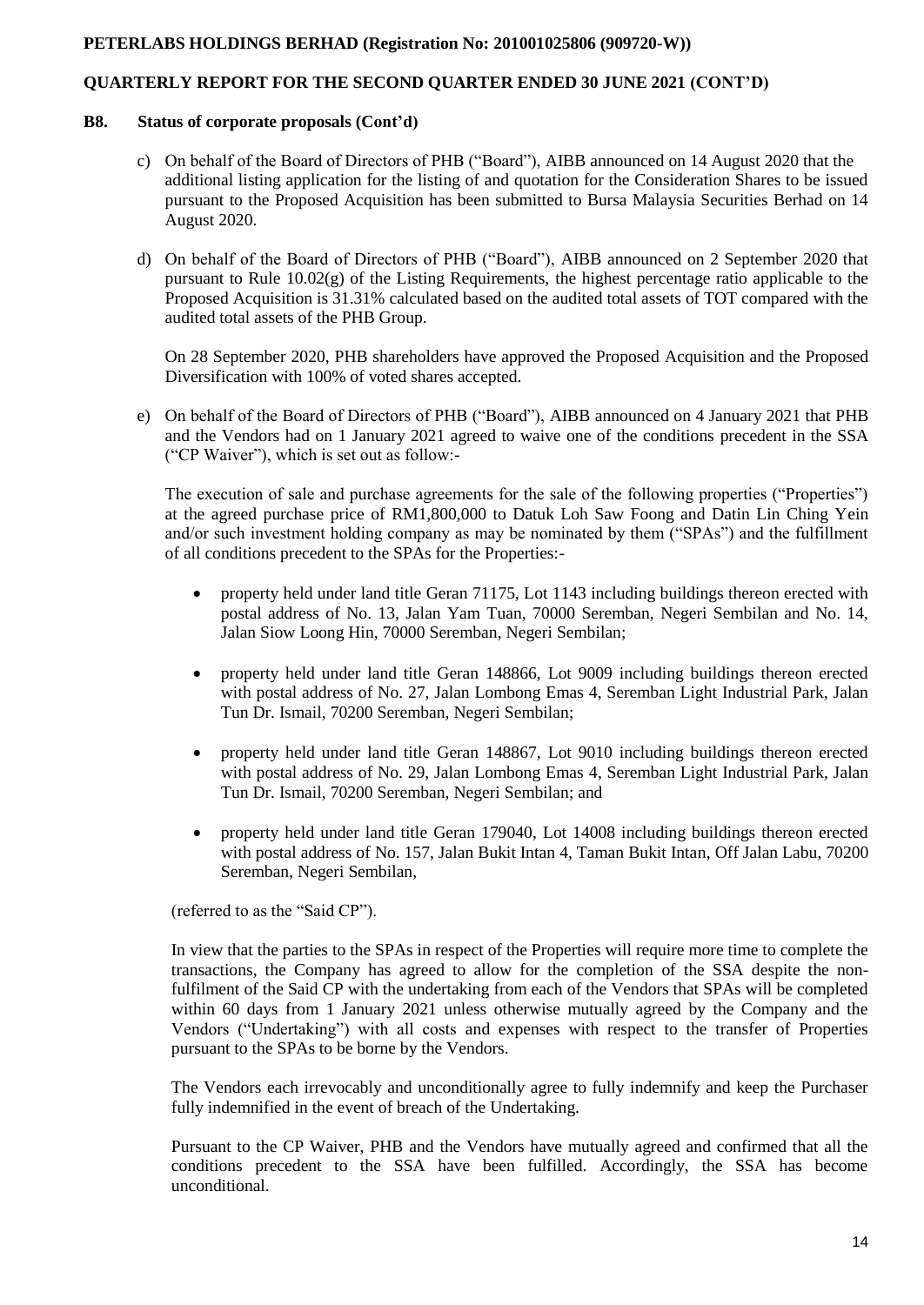## **QUARTERLY REPORT FOR THE SECOND QUARTER ENDED 30 JUNE 2021 (CONT'D)**

#### **B8. Status of corporate proposals (Cont'd)**

- c) On behalf of the Board of Directors of PHB ("Board"), AIBB announced on 14 August 2020 that the additional listing application for the listing of and quotation for the Consideration Shares to be issued pursuant to the Proposed Acquisition has been submitted to Bursa Malaysia Securities Berhad on 14 August 2020.
- d) On behalf of the Board of Directors of PHB ("Board"), AIBB announced on 2 September 2020 that pursuant to Rule  $10.02(g)$  of the Listing Requirements, the highest percentage ratio applicable to the Proposed Acquisition is 31.31% calculated based on the audited total assets of TOT compared with the audited total assets of the PHB Group.

On 28 September 2020, PHB shareholders have approved the Proposed Acquisition and the Proposed Diversification with 100% of voted shares accepted.

e) On behalf of the Board of Directors of PHB ("Board"), AIBB announced on 4 January 2021 that PHB and the Vendors had on 1 January 2021 agreed to waive one of the conditions precedent in the SSA ("CP Waiver"), which is set out as follow:-

The execution of sale and purchase agreements for the sale of the following properties ("Properties") at the agreed purchase price of RM1,800,000 to Datuk Loh Saw Foong and Datin Lin Ching Yein and/or such investment holding company as may be nominated by them ("SPAs") and the fulfillment of all conditions precedent to the SPAs for the Properties:-

- property held under land title Geran 71175, Lot 1143 including buildings thereon erected with postal address of No. 13, Jalan Yam Tuan, 70000 Seremban, Negeri Sembilan and No. 14, Jalan Siow Loong Hin, 70000 Seremban, Negeri Sembilan;
- property held under land title Geran 148866, Lot 9009 including buildings thereon erected with postal address of No. 27, Jalan Lombong Emas 4, Seremban Light Industrial Park, Jalan Tun Dr. Ismail, 70200 Seremban, Negeri Sembilan;
- property held under land title Geran 148867, Lot 9010 including buildings thereon erected with postal address of No. 29, Jalan Lombong Emas 4, Seremban Light Industrial Park, Jalan Tun Dr. Ismail, 70200 Seremban, Negeri Sembilan; and
- property held under land title Geran 179040, Lot 14008 including buildings thereon erected with postal address of No. 157, Jalan Bukit Intan 4, Taman Bukit Intan, Off Jalan Labu, 70200 Seremban, Negeri Sembilan,

(referred to as the "Said CP").

In view that the parties to the SPAs in respect of the Properties will require more time to complete the transactions, the Company has agreed to allow for the completion of the SSA despite the nonfulfilment of the Said CP with the undertaking from each of the Vendors that SPAs will be completed within 60 days from 1 January 2021 unless otherwise mutually agreed by the Company and the Vendors ("Undertaking") with all costs and expenses with respect to the transfer of Properties pursuant to the SPAs to be borne by the Vendors.

The Vendors each irrevocably and unconditionally agree to fully indemnify and keep the Purchaser fully indemnified in the event of breach of the Undertaking.

Pursuant to the CP Waiver, PHB and the Vendors have mutually agreed and confirmed that all the conditions precedent to the SSA have been fulfilled. Accordingly, the SSA has become unconditional.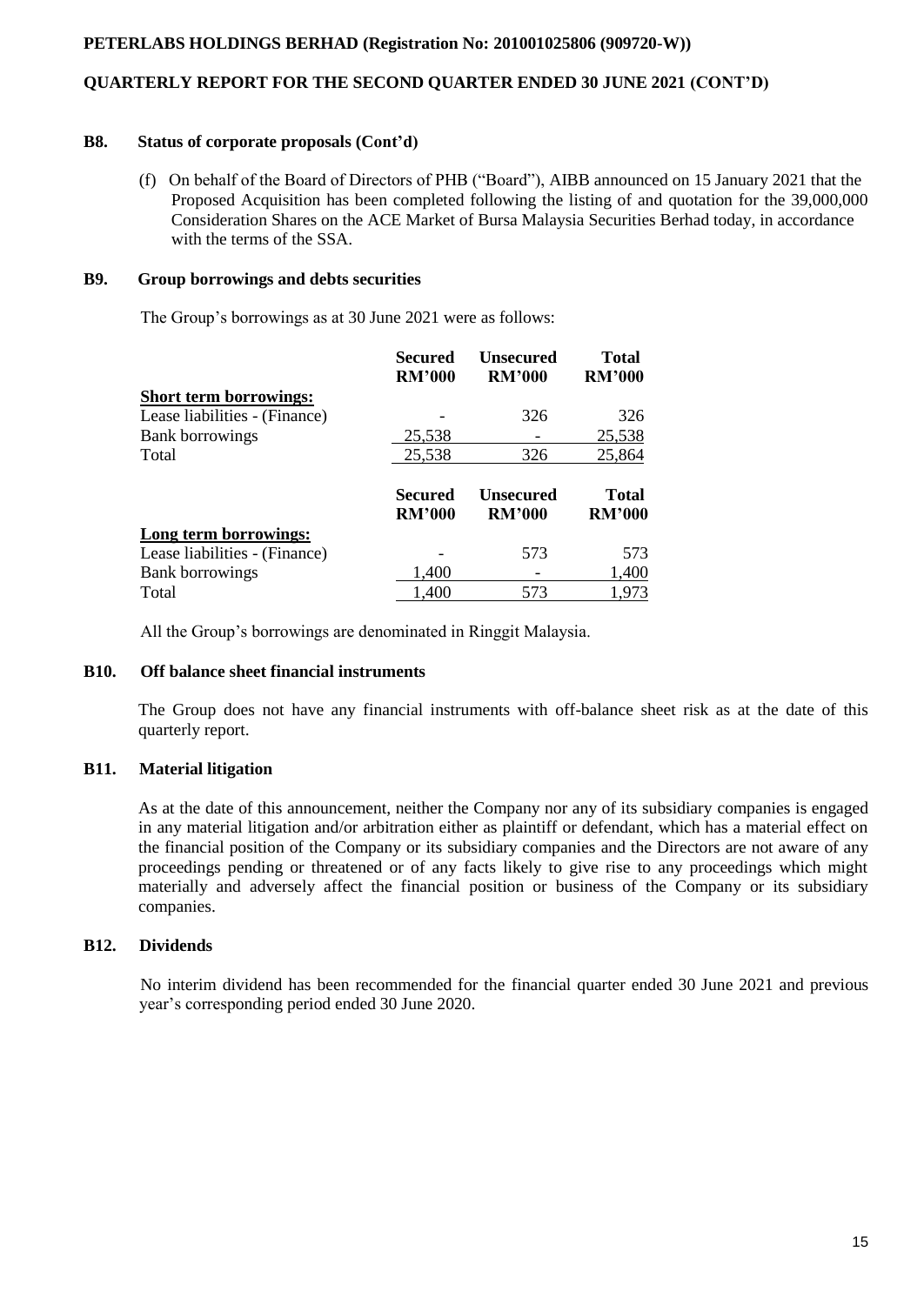## **QUARTERLY REPORT FOR THE SECOND QUARTER ENDED 30 JUNE 2021 (CONT'D)**

#### **B8. Status of corporate proposals (Cont'd)**

 (f) On behalf of the Board of Directors of PHB ("Board"), AIBB announced on 15 January 2021 that the Proposed Acquisition has been completed following the listing of and quotation for the 39,000,000 Consideration Shares on the ACE Market of Bursa Malaysia Securities Berhad today, in accordance with the terms of the SSA.

## **B9. Group borrowings and debts securities**

The Group's borrowings as at 30 June 2021 were as follows:

|                               | Secured<br><b>RM'000</b> | Unsecured<br><b>RM'000</b>        | <b>Total</b><br><b>RM'000</b> |
|-------------------------------|--------------------------|-----------------------------------|-------------------------------|
| <b>Short term borrowings:</b> |                          |                                   |                               |
| Lease liabilities - (Finance) |                          | 326                               | 326                           |
| <b>Bank borrowings</b>        | 25,538                   |                                   | 25,538                        |
| Total                         | 25,538                   | 326                               | 25,864                        |
|                               | Secured<br><b>RM'000</b> | <b>Unsecured</b><br><b>RM'000</b> | <b>Total</b><br><b>RM'000</b> |
| Long term borrowings:         |                          |                                   |                               |
| Lease liabilities - (Finance) |                          | 573                               | 573                           |
| <b>Bank borrowings</b>        | 1,400                    |                                   | 1,400                         |
| Total                         | 1,400                    | 573                               | 1,973                         |

All the Group's borrowings are denominated in Ringgit Malaysia.

# **B10. Off balance sheet financial instruments**

The Group does not have any financial instruments with off-balance sheet risk as at the date of this quarterly report.

# **B11. Material litigation**

As at the date of this announcement, neither the Company nor any of its subsidiary companies is engaged in any material litigation and/or arbitration either as plaintiff or defendant, which has a material effect on the financial position of the Company or its subsidiary companies and the Directors are not aware of any proceedings pending or threatened or of any facts likely to give rise to any proceedings which might materially and adversely affect the financial position or business of the Company or its subsidiary companies.

# **B12. Dividends**

 No interim dividend has been recommended for the financial quarter ended 30 June 2021 and previous year's corresponding period ended 30 June 2020.